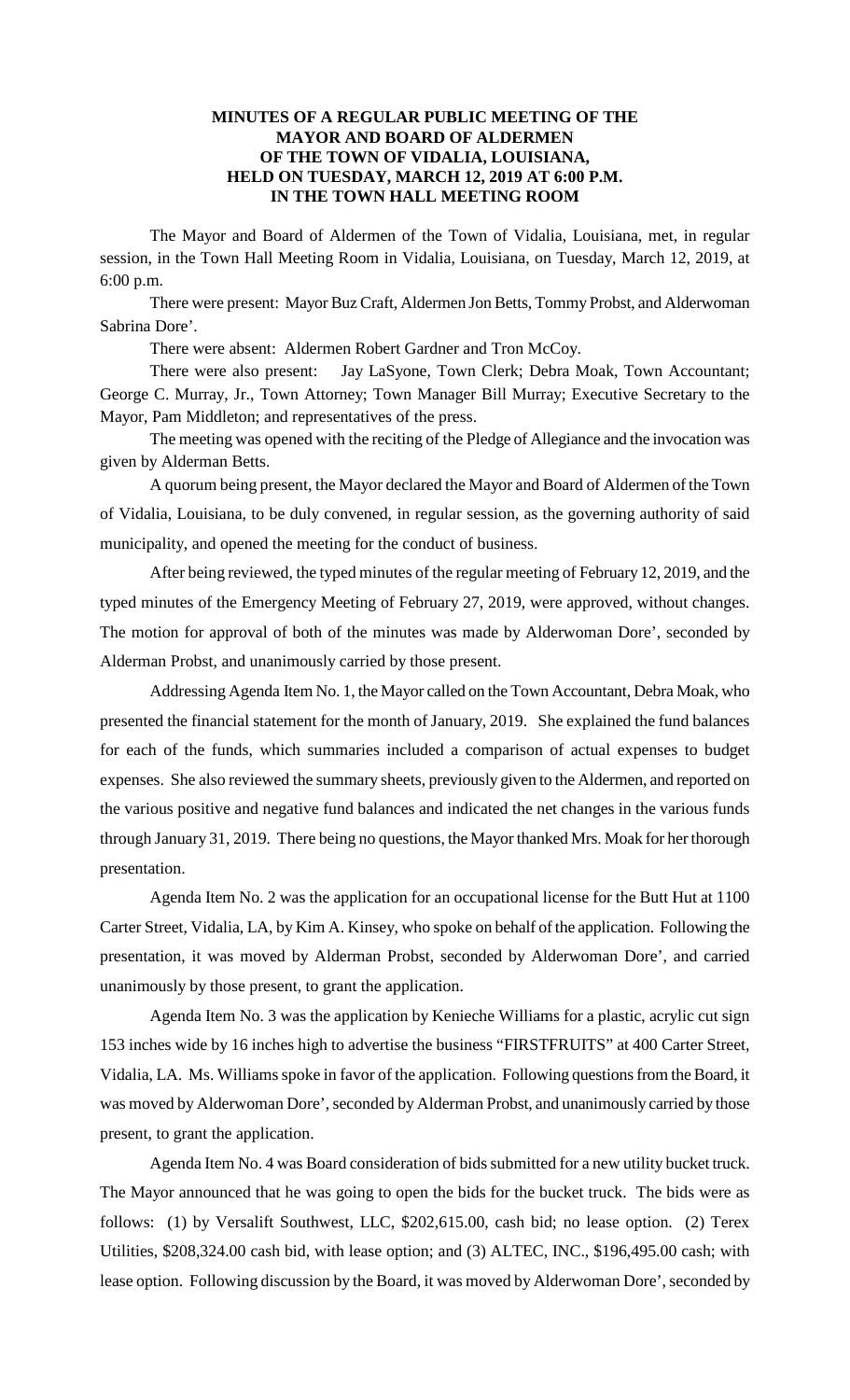## **MINUTES OF A REGULAR PUBLIC MEETING OF THE MAYOR AND BOARD OF ALDERMEN OF THE TOWN OF VIDALIA, LOUISIANA, HELD ON TUESDAY, MARCH 12, 2019 AT 6:00 P.M. IN THE TOWN HALL MEETING ROOM**

The Mayor and Board of Aldermen of the Town of Vidalia, Louisiana, met, in regular session, in the Town Hall Meeting Room in Vidalia, Louisiana, on Tuesday, March 12, 2019, at 6:00 p.m.

There were present: Mayor Buz Craft, Aldermen Jon Betts, Tommy Probst, and Alderwoman Sabrina Dore'.

There were absent: Aldermen Robert Gardner and Tron McCoy.

There were also present: Jay LaSyone, Town Clerk; Debra Moak, Town Accountant; George C. Murray, Jr., Town Attorney; Town Manager Bill Murray; Executive Secretary to the Mayor, Pam Middleton; and representatives of the press.

The meeting was opened with the reciting of the Pledge of Allegiance and the invocation was given by Alderman Betts.

A quorum being present, the Mayor declared the Mayor and Board of Aldermen of the Town of Vidalia, Louisiana, to be duly convened, in regular session, as the governing authority of said municipality, and opened the meeting for the conduct of business.

After being reviewed, the typed minutes of the regular meeting of February 12, 2019, and the typed minutes of the Emergency Meeting of February 27, 2019, were approved, without changes. The motion for approval of both of the minutes was made by Alderwoman Dore', seconded by Alderman Probst, and unanimously carried by those present.

Addressing Agenda Item No. 1, the Mayor called on the Town Accountant, Debra Moak, who presented the financial statement for the month of January, 2019. She explained the fund balances for each of the funds, which summaries included a comparison of actual expenses to budget expenses. She also reviewed the summary sheets, previously given to the Aldermen, and reported on the various positive and negative fund balances and indicated the net changes in the various funds through January 31, 2019. There being no questions, the Mayor thanked Mrs. Moak for her thorough presentation.

Agenda Item No. 2 was the application for an occupational license for the Butt Hut at 1100 Carter Street, Vidalia, LA, by Kim A. Kinsey, who spoke on behalf of the application. Following the presentation, it was moved by Alderman Probst, seconded by Alderwoman Dore', and carried unanimously by those present, to grant the application.

Agenda Item No. 3 was the application by Kenieche Williams for a plastic, acrylic cut sign 153 inches wide by 16 inches high to advertise the business "FIRSTFRUITS" at 400 Carter Street, Vidalia, LA. Ms. Williams spoke in favor of the application. Following questions from the Board, it was moved by Alderwoman Dore', seconded by Alderman Probst, and unanimously carried by those present, to grant the application.

Agenda Item No. 4 was Board consideration of bids submitted for a new utility bucket truck. The Mayor announced that he was going to open the bids for the bucket truck. The bids were as follows: (1) by Versalift Southwest, LLC, \$202,615.00, cash bid; no lease option. (2) Terex Utilities, \$208,324.00 cash bid, with lease option; and (3) ALTEC, INC., \$196,495.00 cash; with lease option. Following discussion by the Board, it was moved by Alderwoman Dore', seconded by